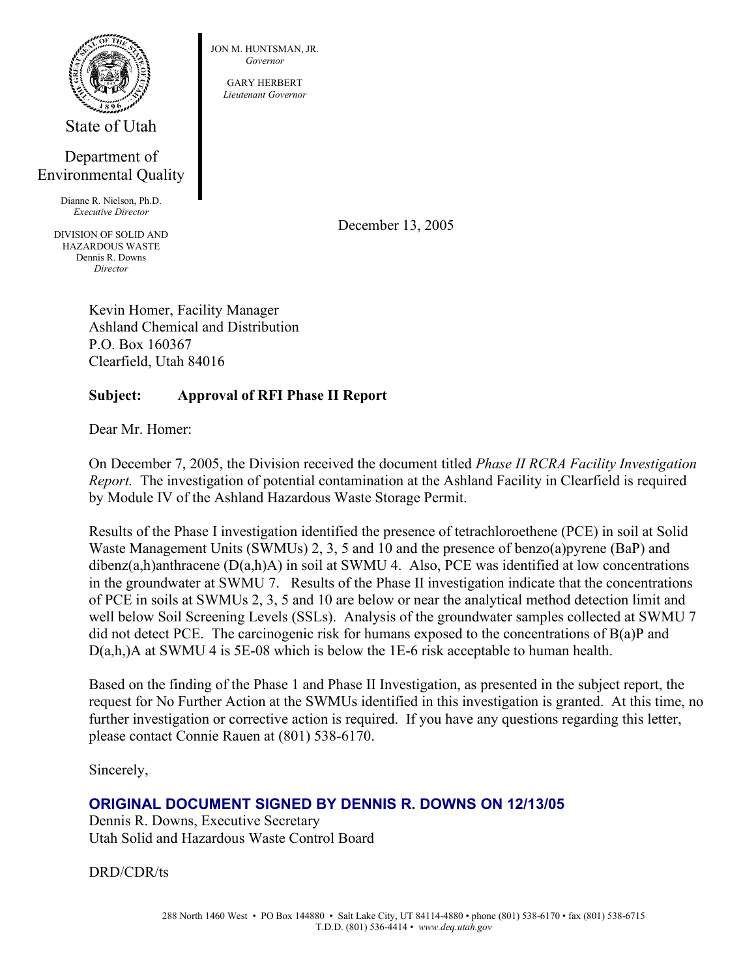

State of Utah

## Department of Environmental Quality

Dianne R. Nielson, Ph.D. *Executive Director*

DIVISION OF SOLID AND HAZARDOUS WASTE Dennis R. Downs *Director*

JON M. HUNTSMAN, JR. *Governor*

> GARY HERBERT *Lieutenant Governor*

> > December 13, 2005

Kevin Homer, Facility Manager Ashland Chemical and Distribution P.O. Box 160367 Clearfield, Utah 84016

## **Subject: Approval of RFI Phase II Report**

Dear Mr. Homer:

On December 7, 2005, the Division received the document titled *Phase II RCRA Facility Investigation Report.* The investigation of potential contamination at the Ashland Facility in Clearfield is required by Module IV of the Ashland Hazardous Waste Storage Permit.

Results of the Phase I investigation identified the presence of tetrachloroethene (PCE) in soil at Solid Waste Management Units (SWMUs) 2, 3, 5 and 10 and the presence of benzo(a)pyrene (BaP) and dibenz(a,h)anthracene (D(a,h)A) in soil at SWMU 4. Also, PCE was identified at low concentrations in the groundwater at SWMU 7. Results of the Phase II investigation indicate that the concentrations of PCE in soils at SWMUs 2, 3, 5 and 10 are below or near the analytical method detection limit and well below Soil Screening Levels (SSLs). Analysis of the groundwater samples collected at SWMU 7 did not detect PCE. The carcinogenic risk for humans exposed to the concentrations of  $B(a)P$  and D(a,h,)A at SWMU 4 is 5E-08 which is below the 1E-6 risk acceptable to human health.

Based on the finding of the Phase 1 and Phase II Investigation, as presented in the subject report, the request for No Further Action at the SWMUs identified in this investigation is granted. At this time, no further investigation or corrective action is required. If you have any questions regarding this letter, please contact Connie Rauen at (801) 538-6170.

Sincerely,

## **ORIGINAL DOCUMENT SIGNED BY DENNIS R. DOWNS ON 12/13/05**

Dennis R. Downs, Executive Secretary Utah Solid and Hazardous Waste Control Board

DRD/CDR/ts